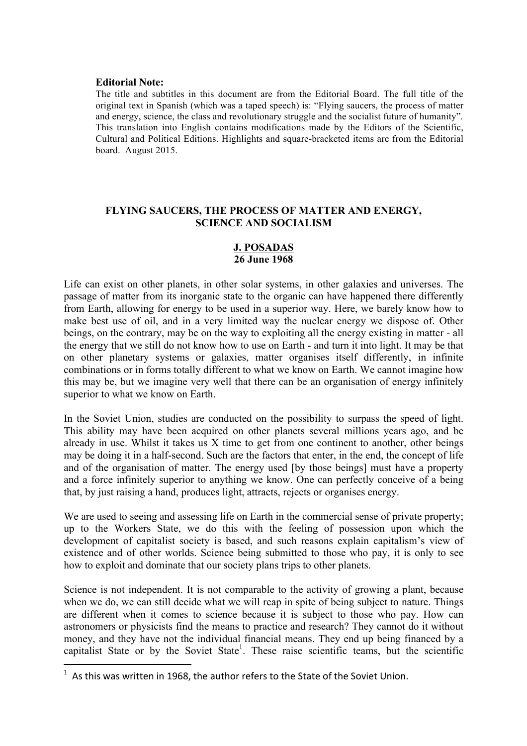#### **Editorial Note:**

The title and subtitles in this document are from the Editorial Board. The full title of the original text in Spanish (which was a taped speech) is: "Flying saucers, the process of matter and energy, science, the class and revolutionary struggle and the socialist future of humanity". This translation into English contains modifications made by the Editors of the Scientific, Cultural and Political Editions. Highlights and square-bracketed items are from the Editorial board. August 2015.

## **FLYING SAUCERS, THE PROCESS OF MATTER AND ENERGY, SCIENCE AND SOCIALISM**

### **J. POSADAS 26 June 1968**

Life can exist on other planets, in other solar systems, in other galaxies and universes. The passage of matter from its inorganic state to the organic can have happened there differently from Earth, allowing for energy to be used in a superior way. Here, we barely know how to make best use of oil, and in a very limited way the nuclear energy we dispose of. Other beings, on the contrary, may be on the way to exploiting all the energy existing in matter - all the energy that we still do not know how to use on Earth - and turn it into light. It may be that on other planetary systems or galaxies, matter organises itself differently, in infinite combinations or in forms totally different to what we know on Earth. We cannot imagine how this may be, but we imagine very well that there can be an organisation of energy infinitely superior to what we know on Earth.

In the Soviet Union, studies are conducted on the possibility to surpass the speed of light. This ability may have been acquired on other planets several millions years ago, and be already in use. Whilst it takes us X time to get from one continent to another, other beings may be doing it in a half-second. Such are the factors that enter, in the end, the concept of life and of the organisation of matter. The energy used [by those beings] must have a property and a force infinitely superior to anything we know. One can perfectly conceive of a being that, by just raising a hand, produces light, attracts, rejects or organises energy.

We are used to seeing and assessing life on Earth in the commercial sense of private property; up to the Workers State, we do this with the feeling of possession upon which the development of capitalist society is based, and such reasons explain capitalism's view of existence and of other worlds. Science being submitted to those who pay, it is only to see how to exploit and dominate that our society plans trips to other planets.

Science is not independent. It is not comparable to the activity of growing a plant, because when we do, we can still decide what we will reap in spite of being subject to nature. Things are different when it comes to science because it is subject to those who pay. How can astronomers or physicists find the means to practice and research? They cannot do it without money, and they have not the individual financial means. They end up being financed by a capitalist State or by the Soviet State<sup>1</sup>. These raise scientific teams, but the scientific

<u> 1989 - Jan Samuel Barbara, margaret e</u>

 $^1$  As this was written in 1968, the author refers to the State of the Soviet Union.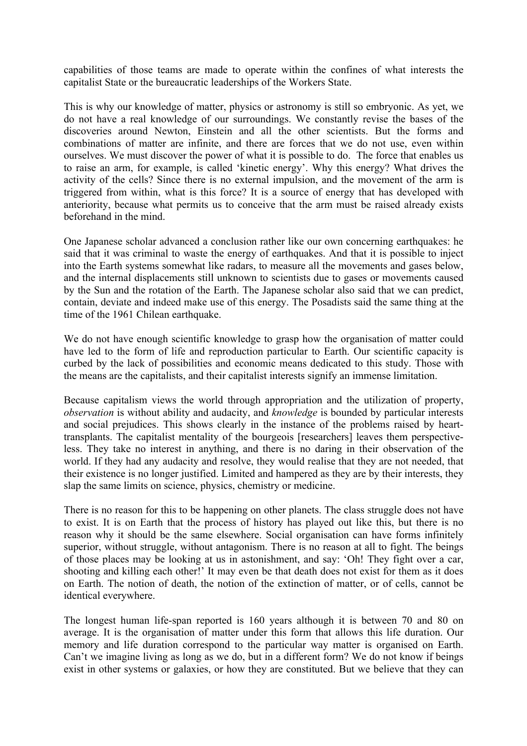capabilities of those teams are made to operate within the confines of what interests the capitalist State or the bureaucratic leaderships of the Workers State.

This is why our knowledge of matter, physics or astronomy is still so embryonic. As yet, we do not have a real knowledge of our surroundings. We constantly revise the bases of the discoveries around Newton, Einstein and all the other scientists. But the forms and combinations of matter are infinite, and there are forces that we do not use, even within ourselves. We must discover the power of what it is possible to do. The force that enables us to raise an arm, for example, is called 'kinetic energy'. Why this energy? What drives the activity of the cells? Since there is no external impulsion, and the movement of the arm is triggered from within, what is this force? It is a source of energy that has developed with anteriority, because what permits us to conceive that the arm must be raised already exists beforehand in the mind.

One Japanese scholar advanced a conclusion rather like our own concerning earthquakes: he said that it was criminal to waste the energy of earthquakes. And that it is possible to inject into the Earth systems somewhat like radars, to measure all the movements and gases below, and the internal displacements still unknown to scientists due to gases or movements caused by the Sun and the rotation of the Earth. The Japanese scholar also said that we can predict, contain, deviate and indeed make use of this energy. The Posadists said the same thing at the time of the 1961 Chilean earthquake.

We do not have enough scientific knowledge to grasp how the organisation of matter could have led to the form of life and reproduction particular to Earth. Our scientific capacity is curbed by the lack of possibilities and economic means dedicated to this study. Those with the means are the capitalists, and their capitalist interests signify an immense limitation.

Because capitalism views the world through appropriation and the utilization of property, *observation* is without ability and audacity, and *knowledge* is bounded by particular interests and social prejudices. This shows clearly in the instance of the problems raised by hearttransplants. The capitalist mentality of the bourgeois [researchers] leaves them perspectiveless. They take no interest in anything, and there is no daring in their observation of the world. If they had any audacity and resolve, they would realise that they are not needed, that their existence is no longer justified. Limited and hampered as they are by their interests, they slap the same limits on science, physics, chemistry or medicine.

There is no reason for this to be happening on other planets. The class struggle does not have to exist. It is on Earth that the process of history has played out like this, but there is no reason why it should be the same elsewhere. Social organisation can have forms infinitely superior, without struggle, without antagonism. There is no reason at all to fight. The beings of those places may be looking at us in astonishment, and say: 'Oh! They fight over a car, shooting and killing each other!' It may even be that death does not exist for them as it does on Earth. The notion of death, the notion of the extinction of matter, or of cells, cannot be identical everywhere.

The longest human life-span reported is 160 years although it is between 70 and 80 on average. It is the organisation of matter under this form that allows this life duration. Our memory and life duration correspond to the particular way matter is organised on Earth. Can't we imagine living as long as we do, but in a different form? We do not know if beings exist in other systems or galaxies, or how they are constituted. But we believe that they can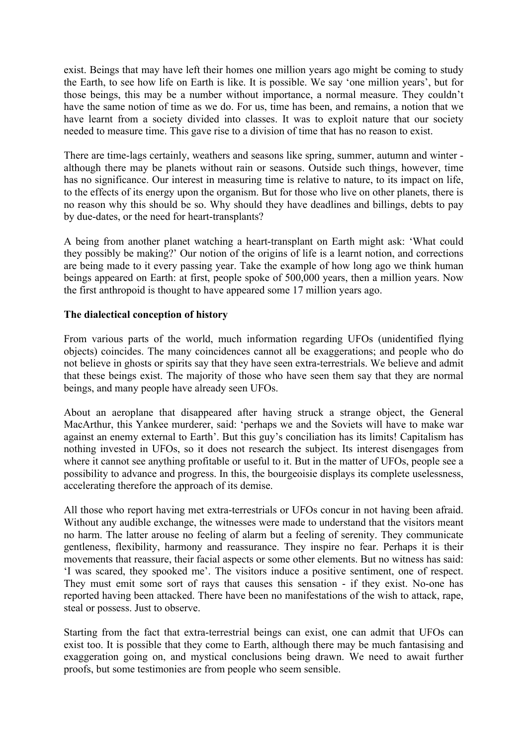exist. Beings that may have left their homes one million years ago might be coming to study the Earth, to see how life on Earth is like. It is possible. We say 'one million years', but for those beings, this may be a number without importance, a normal measure. They couldn't have the same notion of time as we do. For us, time has been, and remains, a notion that we have learnt from a society divided into classes. It was to exploit nature that our society needed to measure time. This gave rise to a division of time that has no reason to exist.

There are time-lags certainly, weathers and seasons like spring, summer, autumn and winter although there may be planets without rain or seasons. Outside such things, however, time has no significance. Our interest in measuring time is relative to nature, to its impact on life, to the effects of its energy upon the organism. But for those who live on other planets, there is no reason why this should be so. Why should they have deadlines and billings, debts to pay by due-dates, or the need for heart-transplants?

A being from another planet watching a heart-transplant on Earth might ask: 'What could they possibly be making?' Our notion of the origins of life is a learnt notion, and corrections are being made to it every passing year. Take the example of how long ago we think human beings appeared on Earth: at first, people spoke of 500,000 years, then a million years. Now the first anthropoid is thought to have appeared some 17 million years ago.

# **The dialectical conception of history**

From various parts of the world, much information regarding UFOs (unidentified flying objects) coincides. The many coincidences cannot all be exaggerations; and people who do not believe in ghosts or spirits say that they have seen extra-terrestrials. We believe and admit that these beings exist. The majority of those who have seen them say that they are normal beings, and many people have already seen UFOs.

About an aeroplane that disappeared after having struck a strange object, the General MacArthur, this Yankee murderer, said: 'perhaps we and the Soviets will have to make war against an enemy external to Earth'. But this guy's conciliation has its limits! Capitalism has nothing invested in UFOs, so it does not research the subject. Its interest disengages from where it cannot see anything profitable or useful to it. But in the matter of UFOs, people see a possibility to advance and progress. In this, the bourgeoisie displays its complete uselessness, accelerating therefore the approach of its demise.

All those who report having met extra-terrestrials or UFOs concur in not having been afraid. Without any audible exchange, the witnesses were made to understand that the visitors meant no harm. The latter arouse no feeling of alarm but a feeling of serenity. They communicate gentleness, flexibility, harmony and reassurance. They inspire no fear. Perhaps it is their movements that reassure, their facial aspects or some other elements. But no witness has said: 'I was scared, they spooked me'. The visitors induce a positive sentiment, one of respect. They must emit some sort of rays that causes this sensation - if they exist. No-one has reported having been attacked. There have been no manifestations of the wish to attack, rape, steal or possess. Just to observe.

Starting from the fact that extra-terrestrial beings can exist, one can admit that UFOs can exist too. It is possible that they come to Earth, although there may be much fantasising and exaggeration going on, and mystical conclusions being drawn. We need to await further proofs, but some testimonies are from people who seem sensible.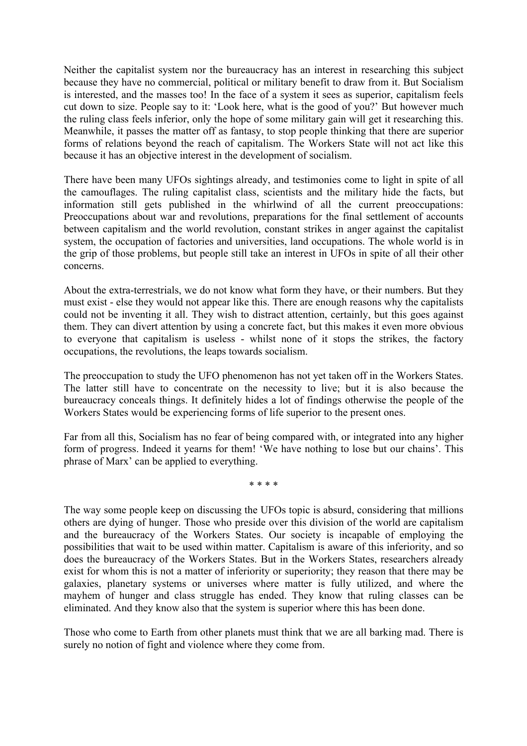Neither the capitalist system nor the bureaucracy has an interest in researching this subject because they have no commercial, political or military benefit to draw from it. But Socialism is interested, and the masses too! In the face of a system it sees as superior, capitalism feels cut down to size. People say to it: 'Look here, what is the good of you?' But however much the ruling class feels inferior, only the hope of some military gain will get it researching this. Meanwhile, it passes the matter off as fantasy, to stop people thinking that there are superior forms of relations beyond the reach of capitalism. The Workers State will not act like this because it has an objective interest in the development of socialism.

There have been many UFOs sightings already, and testimonies come to light in spite of all the camouflages. The ruling capitalist class, scientists and the military hide the facts, but information still gets published in the whirlwind of all the current preoccupations: Preoccupations about war and revolutions, preparations for the final settlement of accounts between capitalism and the world revolution, constant strikes in anger against the capitalist system, the occupation of factories and universities, land occupations. The whole world is in the grip of those problems, but people still take an interest in UFOs in spite of all their other concerns.

About the extra-terrestrials, we do not know what form they have, or their numbers. But they must exist - else they would not appear like this. There are enough reasons why the capitalists could not be inventing it all. They wish to distract attention, certainly, but this goes against them. They can divert attention by using a concrete fact, but this makes it even more obvious to everyone that capitalism is useless - whilst none of it stops the strikes, the factory occupations, the revolutions, the leaps towards socialism.

The preoccupation to study the UFO phenomenon has not yet taken off in the Workers States. The latter still have to concentrate on the necessity to live; but it is also because the bureaucracy conceals things. It definitely hides a lot of findings otherwise the people of the Workers States would be experiencing forms of life superior to the present ones.

Far from all this, Socialism has no fear of being compared with, or integrated into any higher form of progress. Indeed it yearns for them! 'We have nothing to lose but our chains'. This phrase of Marx' can be applied to everything.

\* \* \* \*

The way some people keep on discussing the UFOs topic is absurd, considering that millions others are dying of hunger. Those who preside over this division of the world are capitalism and the bureaucracy of the Workers States. Our society is incapable of employing the possibilities that wait to be used within matter. Capitalism is aware of this inferiority, and so does the bureaucracy of the Workers States. But in the Workers States, researchers already exist for whom this is not a matter of inferiority or superiority; they reason that there may be galaxies, planetary systems or universes where matter is fully utilized, and where the mayhem of hunger and class struggle has ended. They know that ruling classes can be eliminated. And they know also that the system is superior where this has been done.

Those who come to Earth from other planets must think that we are all barking mad. There is surely no notion of fight and violence where they come from.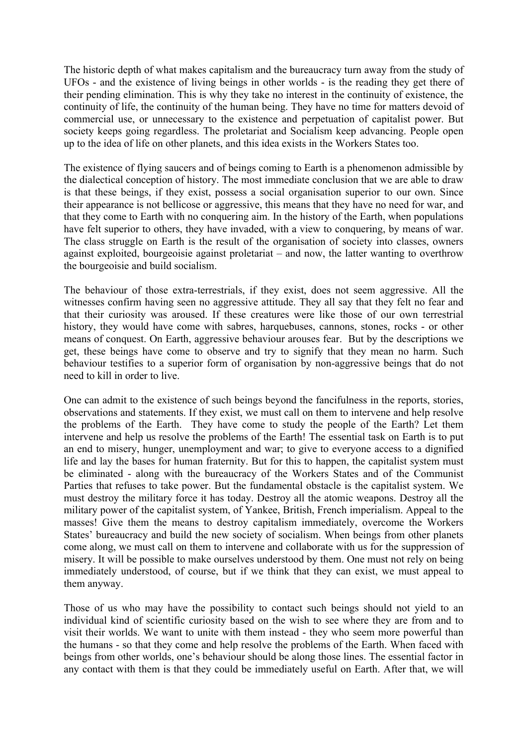The historic depth of what makes capitalism and the bureaucracy turn away from the study of UFOs - and the existence of living beings in other worlds - is the reading they get there of their pending elimination. This is why they take no interest in the continuity of existence, the continuity of life, the continuity of the human being. They have no time for matters devoid of commercial use, or unnecessary to the existence and perpetuation of capitalist power. But society keeps going regardless. The proletariat and Socialism keep advancing. People open up to the idea of life on other planets, and this idea exists in the Workers States too.

The existence of flying saucers and of beings coming to Earth is a phenomenon admissible by the dialectical conception of history. The most immediate conclusion that we are able to draw is that these beings, if they exist, possess a social organisation superior to our own. Since their appearance is not bellicose or aggressive, this means that they have no need for war, and that they come to Earth with no conquering aim. In the history of the Earth, when populations have felt superior to others, they have invaded, with a view to conquering, by means of war. The class struggle on Earth is the result of the organisation of society into classes, owners against exploited, bourgeoisie against proletariat – and now, the latter wanting to overthrow the bourgeoisie and build socialism.

The behaviour of those extra-terrestrials, if they exist, does not seem aggressive. All the witnesses confirm having seen no aggressive attitude. They all say that they felt no fear and that their curiosity was aroused. If these creatures were like those of our own terrestrial history, they would have come with sabres, harquebuses, cannons, stones, rocks - or other means of conquest. On Earth, aggressive behaviour arouses fear. But by the descriptions we get, these beings have come to observe and try to signify that they mean no harm. Such behaviour testifies to a superior form of organisation by non-aggressive beings that do not need to kill in order to live.

One can admit to the existence of such beings beyond the fancifulness in the reports, stories, observations and statements. If they exist, we must call on them to intervene and help resolve the problems of the Earth. They have come to study the people of the Earth? Let them intervene and help us resolve the problems of the Earth! The essential task on Earth is to put an end to misery, hunger, unemployment and war; to give to everyone access to a dignified life and lay the bases for human fraternity. But for this to happen, the capitalist system must be eliminated - along with the bureaucracy of the Workers States and of the Communist Parties that refuses to take power. But the fundamental obstacle is the capitalist system. We must destroy the military force it has today. Destroy all the atomic weapons. Destroy all the military power of the capitalist system, of Yankee, British, French imperialism. Appeal to the masses! Give them the means to destroy capitalism immediately, overcome the Workers States' bureaucracy and build the new society of socialism. When beings from other planets come along, we must call on them to intervene and collaborate with us for the suppression of misery. It will be possible to make ourselves understood by them. One must not rely on being immediately understood, of course, but if we think that they can exist, we must appeal to them anyway.

Those of us who may have the possibility to contact such beings should not yield to an individual kind of scientific curiosity based on the wish to see where they are from and to visit their worlds. We want to unite with them instead - they who seem more powerful than the humans - so that they come and help resolve the problems of the Earth. When faced with beings from other worlds, one's behaviour should be along those lines. The essential factor in any contact with them is that they could be immediately useful on Earth. After that, we will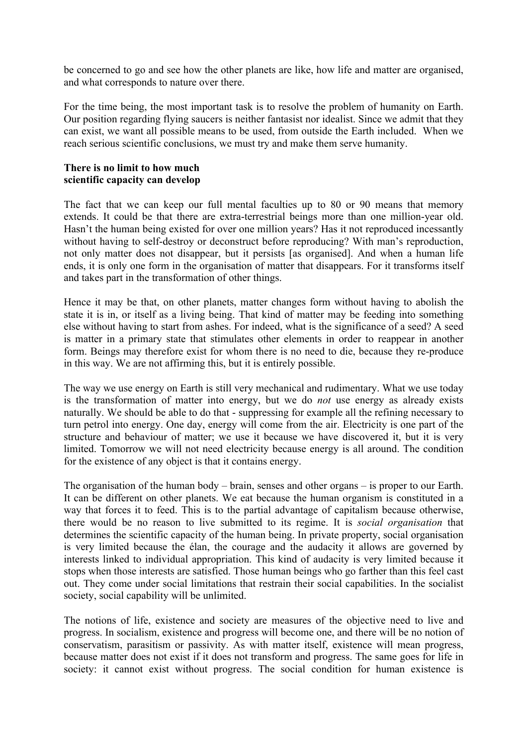be concerned to go and see how the other planets are like, how life and matter are organised, and what corresponds to nature over there.

For the time being, the most important task is to resolve the problem of humanity on Earth. Our position regarding flying saucers is neither fantasist nor idealist. Since we admit that they can exist, we want all possible means to be used, from outside the Earth included. When we reach serious scientific conclusions, we must try and make them serve humanity.

### **There is no limit to how much scientific capacity can develop**

The fact that we can keep our full mental faculties up to 80 or 90 means that memory extends. It could be that there are extra-terrestrial beings more than one million-year old. Hasn't the human being existed for over one million years? Has it not reproduced incessantly without having to self-destroy or deconstruct before reproducing? With man's reproduction, not only matter does not disappear, but it persists [as organised]. And when a human life ends, it is only one form in the organisation of matter that disappears. For it transforms itself and takes part in the transformation of other things.

Hence it may be that, on other planets, matter changes form without having to abolish the state it is in, or itself as a living being. That kind of matter may be feeding into something else without having to start from ashes. For indeed, what is the significance of a seed? A seed is matter in a primary state that stimulates other elements in order to reappear in another form. Beings may therefore exist for whom there is no need to die, because they re-produce in this way. We are not affirming this, but it is entirely possible.

The way we use energy on Earth is still very mechanical and rudimentary. What we use today is the transformation of matter into energy, but we do *not* use energy as already exists naturally. We should be able to do that - suppressing for example all the refining necessary to turn petrol into energy. One day, energy will come from the air. Electricity is one part of the structure and behaviour of matter; we use it because we have discovered it, but it is very limited. Tomorrow we will not need electricity because energy is all around. The condition for the existence of any object is that it contains energy.

The organisation of the human body – brain, senses and other organs – is proper to our Earth. It can be different on other planets. We eat because the human organism is constituted in a way that forces it to feed. This is to the partial advantage of capitalism because otherwise, there would be no reason to live submitted to its regime. It is *social organisation* that determines the scientific capacity of the human being. In private property, social organisation is very limited because the élan, the courage and the audacity it allows are governed by interests linked to individual appropriation. This kind of audacity is very limited because it stops when those interests are satisfied. Those human beings who go farther than this feel cast out. They come under social limitations that restrain their social capabilities. In the socialist society, social capability will be unlimited.

The notions of life, existence and society are measures of the objective need to live and progress. In socialism, existence and progress will become one, and there will be no notion of conservatism, parasitism or passivity. As with matter itself, existence will mean progress, because matter does not exist if it does not transform and progress. The same goes for life in society: it cannot exist without progress. The social condition for human existence is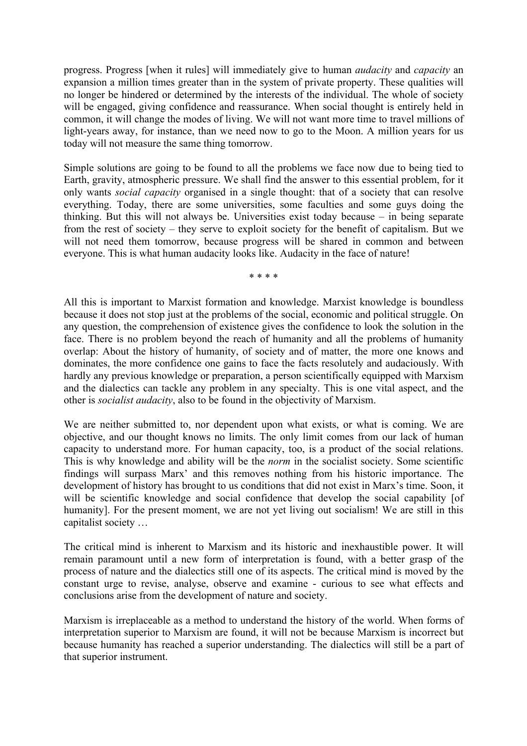progress. Progress [when it rules] will immediately give to human *audacity* and *capacity* an expansion a million times greater than in the system of private property. These qualities will no longer be hindered or determined by the interests of the individual. The whole of society will be engaged, giving confidence and reassurance. When social thought is entirely held in common, it will change the modes of living. We will not want more time to travel millions of light-years away, for instance, than we need now to go to the Moon. A million years for us today will not measure the same thing tomorrow.

Simple solutions are going to be found to all the problems we face now due to being tied to Earth, gravity, atmospheric pressure. We shall find the answer to this essential problem, for it only wants *social capacity* organised in a single thought: that of a society that can resolve everything. Today, there are some universities, some faculties and some guys doing the thinking. But this will not always be. Universities exist today because – in being separate from the rest of society – they serve to exploit society for the benefit of capitalism. But we will not need them tomorrow, because progress will be shared in common and between everyone. This is what human audacity looks like. Audacity in the face of nature!

\* \* \* \*

All this is important to Marxist formation and knowledge. Marxist knowledge is boundless because it does not stop just at the problems of the social, economic and political struggle. On any question, the comprehension of existence gives the confidence to look the solution in the face. There is no problem beyond the reach of humanity and all the problems of humanity overlap: About the history of humanity, of society and of matter, the more one knows and dominates, the more confidence one gains to face the facts resolutely and audaciously. With hardly any previous knowledge or preparation, a person scientifically equipped with Marxism and the dialectics can tackle any problem in any specialty. This is one vital aspect, and the other is *socialist audacity*, also to be found in the objectivity of Marxism.

We are neither submitted to, nor dependent upon what exists, or what is coming. We are objective, and our thought knows no limits. The only limit comes from our lack of human capacity to understand more. For human capacity, too, is a product of the social relations. This is why knowledge and ability will be the *norm* in the socialist society. Some scientific findings will surpass Marx' and this removes nothing from his historic importance. The development of history has brought to us conditions that did not exist in Marx's time. Soon, it will be scientific knowledge and social confidence that develop the social capability [of humanity]. For the present moment, we are not yet living out socialism! We are still in this capitalist society …

The critical mind is inherent to Marxism and its historic and inexhaustible power. It will remain paramount until a new form of interpretation is found, with a better grasp of the process of nature and the dialectics still one of its aspects. The critical mind is moved by the constant urge to revise, analyse, observe and examine - curious to see what effects and conclusions arise from the development of nature and society.

Marxism is irreplaceable as a method to understand the history of the world. When forms of interpretation superior to Marxism are found, it will not be because Marxism is incorrect but because humanity has reached a superior understanding. The dialectics will still be a part of that superior instrument.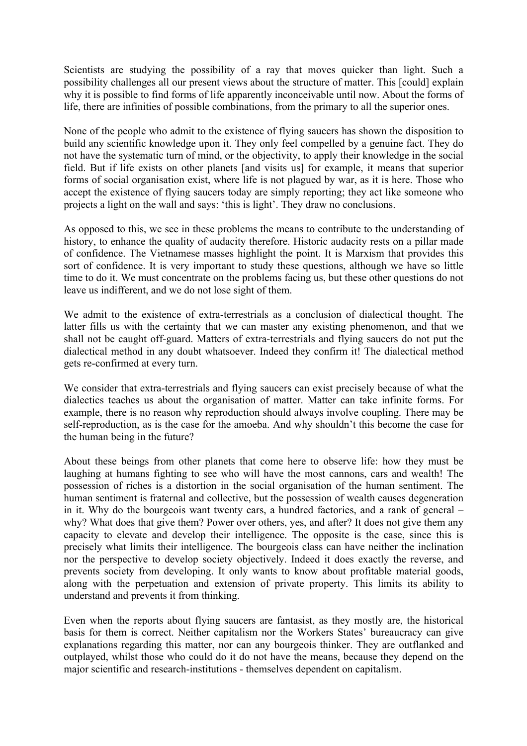Scientists are studying the possibility of a ray that moves quicker than light. Such a possibility challenges all our present views about the structure of matter. This [could] explain why it is possible to find forms of life apparently inconceivable until now. About the forms of life, there are infinities of possible combinations, from the primary to all the superior ones.

None of the people who admit to the existence of flying saucers has shown the disposition to build any scientific knowledge upon it. They only feel compelled by a genuine fact. They do not have the systematic turn of mind, or the objectivity, to apply their knowledge in the social field. But if life exists on other planets [and visits us] for example, it means that superior forms of social organisation exist, where life is not plagued by war, as it is here. Those who accept the existence of flying saucers today are simply reporting; they act like someone who projects a light on the wall and says: 'this is light'. They draw no conclusions.

As opposed to this, we see in these problems the means to contribute to the understanding of history, to enhance the quality of audacity therefore. Historic audacity rests on a pillar made of confidence. The Vietnamese masses highlight the point. It is Marxism that provides this sort of confidence. It is very important to study these questions, although we have so little time to do it. We must concentrate on the problems facing us, but these other questions do not leave us indifferent, and we do not lose sight of them.

We admit to the existence of extra-terrestrials as a conclusion of dialectical thought. The latter fills us with the certainty that we can master any existing phenomenon, and that we shall not be caught off-guard. Matters of extra-terrestrials and flying saucers do not put the dialectical method in any doubt whatsoever. Indeed they confirm it! The dialectical method gets re-confirmed at every turn.

We consider that extra-terrestrials and flying saucers can exist precisely because of what the dialectics teaches us about the organisation of matter. Matter can take infinite forms. For example, there is no reason why reproduction should always involve coupling. There may be self-reproduction, as is the case for the amoeba. And why shouldn't this become the case for the human being in the future?

About these beings from other planets that come here to observe life: how they must be laughing at humans fighting to see who will have the most cannons, cars and wealth! The possession of riches is a distortion in the social organisation of the human sentiment. The human sentiment is fraternal and collective, but the possession of wealth causes degeneration in it. Why do the bourgeois want twenty cars, a hundred factories, and a rank of general – why? What does that give them? Power over others, yes, and after? It does not give them any capacity to elevate and develop their intelligence. The opposite is the case, since this is precisely what limits their intelligence. The bourgeois class can have neither the inclination nor the perspective to develop society objectively. Indeed it does exactly the reverse, and prevents society from developing. It only wants to know about profitable material goods, along with the perpetuation and extension of private property. This limits its ability to understand and prevents it from thinking.

Even when the reports about flying saucers are fantasist, as they mostly are, the historical basis for them is correct. Neither capitalism nor the Workers States' bureaucracy can give explanations regarding this matter, nor can any bourgeois thinker. They are outflanked and outplayed, whilst those who could do it do not have the means, because they depend on the major scientific and research-institutions - themselves dependent on capitalism.